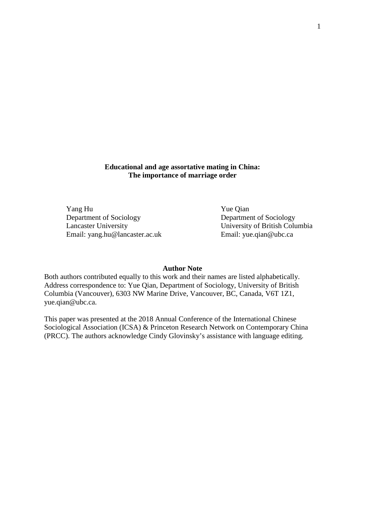**Educational and age assortative mating in China: The importance of marriage order**

Yang Hu Yue Qian Department of Sociology<br>
Lancaster University<br>
University<br>
Olympus University<br>
Olympus University<br>
Olympus University<br>
Olympus University<br>
Olympus University<br>
Olympus University<br>
Olympus University<br>
Olympus University<br>
Oly Email: yang.hu@lancaster.ac.uk

University of British Columbia<br>Email: yue.qian@ubc.ca

#### **Author Note**

Both authors contributed equally to this work and their names are listed alphabetically. Address correspondence to: Yue Qian, Department of Sociology, University of British Columbia (Vancouver), 6303 NW Marine Drive, Vancouver, BC, Canada, V6T 1Z1, yue.qian@ubc.ca.

This paper was presented at the 2018 Annual Conference of the International Chinese Sociological Association (ICSA) & Princeton Research Network on Contemporary China (PRCC). The authors acknowledge Cindy Glovinsky's assistance with language editing.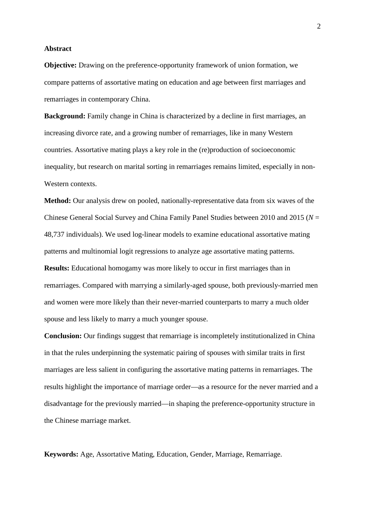### **Abstract**

**Objective:** Drawing on the preference-opportunity framework of union formation, we compare patterns of assortative mating on education and age between first marriages and remarriages in contemporary China.

**Background:** Family change in China is characterized by a decline in first marriages, an increasing divorce rate, and a growing number of remarriages, like in many Western countries. Assortative mating plays a key role in the (re)production of socioeconomic inequality, but research on marital sorting in remarriages remains limited, especially in non-Western contexts.

**Method:** Our analysis drew on pooled, nationally-representative data from six waves of the Chinese General Social Survey and China Family Panel Studies between 2010 and 2015 (*N* = 48,737 individuals). We used log-linear models to examine educational assortative mating patterns and multinomial logit regressions to analyze age assortative mating patterns. **Results:** Educational homogamy was more likely to occur in first marriages than in remarriages. Compared with marrying a similarly-aged spouse, both previously-married men and women were more likely than their never-married counterparts to marry a much older spouse and less likely to marry a much younger spouse.

**Conclusion:** Our findings suggest that remarriage is incompletely institutionalized in China in that the rules underpinning the systematic pairing of spouses with similar traits in first marriages are less salient in configuring the assortative mating patterns in remarriages. The results highlight the importance of marriage order—as a resource for the never married and a disadvantage for the previously married—in shaping the preference-opportunity structure in the Chinese marriage market.

**Keywords:** Age, Assortative Mating, Education, Gender, Marriage, Remarriage.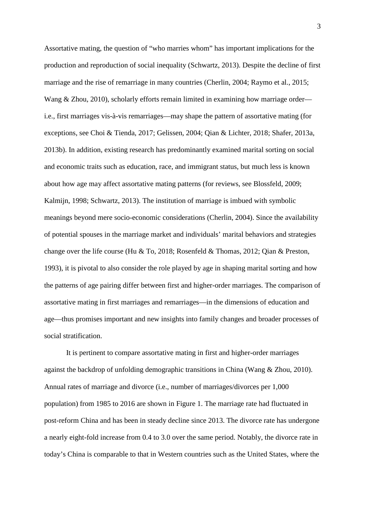Assortative mating, the question of "who marries whom" has important implications for the production and reproduction of social inequality (Schwartz, 2013). Despite the decline of first marriage and the rise of remarriage in many countries (Cherlin, 2004; Raymo et al., 2015; Wang & Zhou, 2010), scholarly efforts remain limited in examining how marriage order i.e., first marriages vis-à-vis remarriages—may shape the pattern of assortative mating (for exceptions, see Choi & Tienda, 2017; Gelissen, 2004; Qian & Lichter, 2018; Shafer, 2013a, 2013b). In addition, existing research has predominantly examined marital sorting on social and economic traits such as education, race, and immigrant status, but much less is known about how age may affect assortative mating patterns (for reviews, see Blossfeld, 2009; Kalmijn, 1998; Schwartz, 2013). The institution of marriage is imbued with symbolic meanings beyond mere socio-economic considerations (Cherlin, 2004). Since the availability of potential spouses in the marriage market and individuals' marital behaviors and strategies change over the life course (Hu & To, 2018; Rosenfeld & Thomas, 2012; Qian & Preston, 1993), it is pivotal to also consider the role played by age in shaping marital sorting and how the patterns of age pairing differ between first and higher-order marriages. The comparison of assortative mating in first marriages and remarriages—in the dimensions of education and age—thus promises important and new insights into family changes and broader processes of social stratification.

It is pertinent to compare assortative mating in first and higher-order marriages against the backdrop of unfolding demographic transitions in China (Wang & Zhou, 2010). Annual rates of marriage and divorce (i.e., number of marriages/divorces per 1,000 population) from 1985 to 2016 are shown in Figure 1. The marriage rate had fluctuated in post-reform China and has been in steady decline since 2013. The divorce rate has undergone a nearly eight-fold increase from 0.4 to 3.0 over the same period. Notably, the divorce rate in today's China is comparable to that in Western countries such as the United States, where the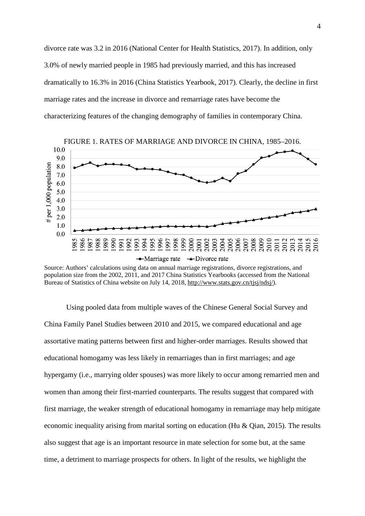divorce rate was 3.2 in 2016 (National Center for Health Statistics, 2017). In addition, only 3.0% of newly married people in 1985 had previously married, and this has increased dramatically to 16.3% in 2016 (China Statistics Yearbook, 2017). Clearly, the decline in first marriage rates and the increase in divorce and remarriage rates have become the characterizing features of the changing demography of families in contemporary China.



Source: Authors' calculations using data on annual marriage registrations, divorce registrations, and population size from the 2002, 2011, and 2017 China Statistics Yearbooks (accessed from the National Bureau of Statistics of China website on July 14, 2018, [http://www.stats.gov.cn/tjsj/ndsj/\)](http://www.stats.gov.cn/tjsj/ndsj/).

Using pooled data from multiple waves of the Chinese General Social Survey and China Family Panel Studies between 2010 and 2015, we compared educational and age assortative mating patterns between first and higher-order marriages. Results showed that educational homogamy was less likely in remarriages than in first marriages; and age hypergamy (i.e., marrying older spouses) was more likely to occur among remarried men and women than among their first-married counterparts. The results suggest that compared with first marriage, the weaker strength of educational homogamy in remarriage may help mitigate economic inequality arising from marital sorting on education (Hu & Qian, 2015). The results also suggest that age is an important resource in mate selection for some but, at the same time, a detriment to marriage prospects for others. In light of the results, we highlight the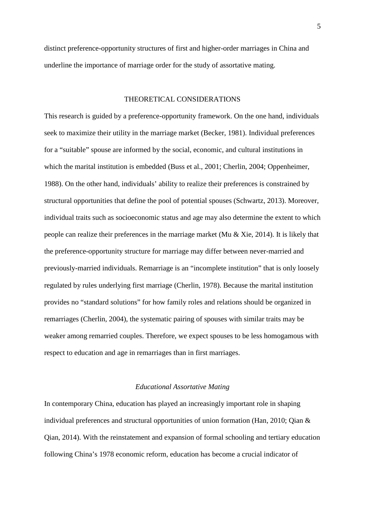distinct preference-opportunity structures of first and higher-order marriages in China and underline the importance of marriage order for the study of assortative mating.

# THEORETICAL CONSIDERATIONS

This research is guided by a preference-opportunity framework. On the one hand, individuals seek to maximize their utility in the marriage market (Becker, 1981). Individual preferences for a "suitable" spouse are informed by the social, economic, and cultural institutions in which the marital institution is embedded (Buss et al., 2001; Cherlin, 2004; Oppenheimer, 1988). On the other hand, individuals' ability to realize their preferences is constrained by structural opportunities that define the pool of potential spouses (Schwartz, 2013). Moreover, individual traits such as socioeconomic status and age may also determine the extent to which people can realize their preferences in the marriage market (Mu & Xie, 2014). It is likely that the preference-opportunity structure for marriage may differ between never-married and previously-married individuals. Remarriage is an "incomplete institution" that is only loosely regulated by rules underlying first marriage (Cherlin, 1978). Because the marital institution provides no "standard solutions" for how family roles and relations should be organized in remarriages (Cherlin, 2004), the systematic pairing of spouses with similar traits may be weaker among remarried couples. Therefore, we expect spouses to be less homogamous with respect to education and age in remarriages than in first marriages.

# *Educational Assortative Mating*

In contemporary China, education has played an increasingly important role in shaping individual preferences and structural opportunities of union formation (Han, 2010; Qian & Qian, 2014). With the reinstatement and expansion of formal schooling and tertiary education following China's 1978 economic reform, education has become a crucial indicator of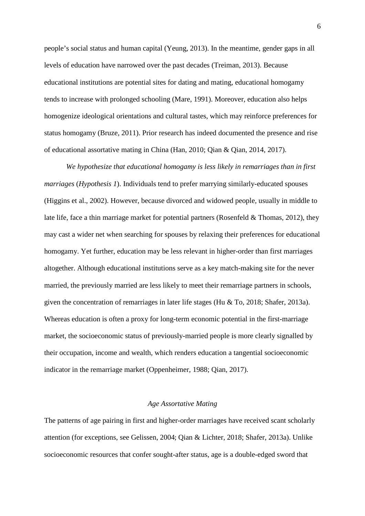people's social status and human capital (Yeung, 2013). In the meantime, gender gaps in all levels of education have narrowed over the past decades (Treiman, 2013). Because educational institutions are potential sites for dating and mating, educational homogamy tends to increase with prolonged schooling (Mare, 1991). Moreover, education also helps homogenize ideological orientations and cultural tastes, which may reinforce preferences for status homogamy (Bruze, 2011). Prior research has indeed documented the presence and rise of educational assortative mating in China (Han, 2010; Qian & Qian, 2014, 2017).

*We hypothesize that educational homogamy is less likely in remarriages than in first marriages* (*Hypothesis 1*). Individuals tend to prefer marrying similarly-educated spouses (Higgins et al., 2002). However, because divorced and widowed people, usually in middle to late life, face a thin marriage market for potential partners (Rosenfeld & Thomas, 2012), they may cast a wider net when searching for spouses by relaxing their preferences for educational homogamy. Yet further, education may be less relevant in higher-order than first marriages altogether. Although educational institutions serve as a key match-making site for the never married, the previously married are less likely to meet their remarriage partners in schools, given the concentration of remarriages in later life stages (Hu & To, 2018; Shafer, 2013a). Whereas education is often a proxy for long-term economic potential in the first-marriage market, the socioeconomic status of previously-married people is more clearly signalled by their occupation, income and wealth, which renders education a tangential socioeconomic indicator in the remarriage market (Oppenheimer, 1988; Qian, 2017).

# *Age Assortative Mating*

The patterns of age pairing in first and higher-order marriages have received scant scholarly attention (for exceptions, see Gelissen, 2004; Qian & Lichter, 2018; Shafer, 2013a). Unlike socioeconomic resources that confer sought-after status, age is a double-edged sword that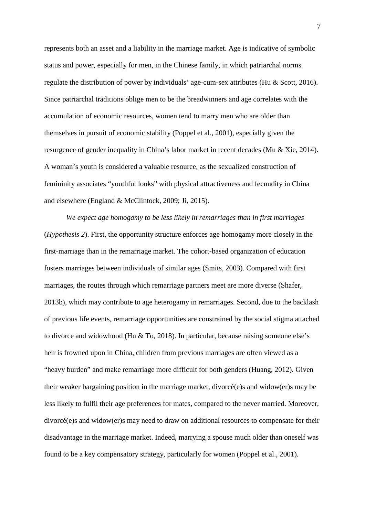represents both an asset and a liability in the marriage market. Age is indicative of symbolic status and power, especially for men, in the Chinese family, in which patriarchal norms regulate the distribution of power by individuals' age-cum-sex attributes (Hu & Scott, 2016). Since patriarchal traditions oblige men to be the breadwinners and age correlates with the accumulation of economic resources, women tend to marry men who are older than themselves in pursuit of economic stability (Poppel et al., 2001), especially given the resurgence of gender inequality in China's labor market in recent decades (Mu & Xie, 2014). A woman's youth is considered a valuable resource, as the sexualized construction of femininity associates "youthful looks" with physical attractiveness and fecundity in China and elsewhere (England & McClintock, 2009; Ji, 2015).

*We expect age homogamy to be less likely in remarriages than in first marriages* (*Hypothesis 2*). First, the opportunity structure enforces age homogamy more closely in the first-marriage than in the remarriage market. The cohort-based organization of education fosters marriages between individuals of similar ages (Smits, 2003). Compared with first marriages, the routes through which remarriage partners meet are more diverse (Shafer, 2013b), which may contribute to age heterogamy in remarriages. Second, due to the backlash of previous life events, remarriage opportunities are constrained by the social stigma attached to divorce and widowhood (Hu & To, 2018). In particular, because raising someone else's heir is frowned upon in China, children from previous marriages are often viewed as a "heavy burden" and make remarriage more difficult for both genders (Huang, 2012). Given their weaker bargaining position in the marriage market, divorcé(e)s and widow(er)s may be less likely to fulfil their age preferences for mates, compared to the never married. Moreover, divorcé(e)s and widow(er)s may need to draw on additional resources to compensate for their disadvantage in the marriage market. Indeed, marrying a spouse much older than oneself was found to be a key compensatory strategy, particularly for women (Poppel et al., 2001).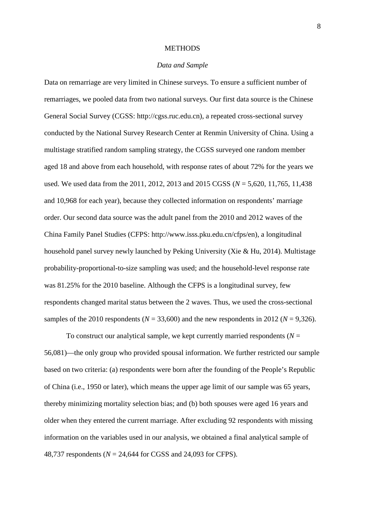#### **METHODS**

### *Data and Sample*

Data on remarriage are very limited in Chinese surveys. To ensure a sufficient number of remarriages, we pooled data from two national surveys. Our first data source is the Chinese General Social Survey (CGSS: [http://cgss.ruc.edu.cn\)](http://cgss.ruc.edu.cn/), a repeated cross-sectional survey conducted by the National Survey Research Center at Renmin University of China. Using a multistage stratified random sampling strategy, the CGSS surveyed one random member aged 18 and above from each household, with response rates of about 72% for the years we used. We used data from the 2011, 2012, 2013 and 2015 CGSS (*N* = 5,620, 11,765, 11,438 and 10,968 for each year), because they collected information on respondents' marriage order. Our second data source was the adult panel from the 2010 and 2012 waves of the China Family Panel Studies (CFPS: http://www.isss.pku.edu.cn/cfps/en), a longitudinal household panel survey newly launched by Peking University (Xie & Hu, 2014). Multistage probability-proportional-to-size sampling was used; and the household-level response rate was 81.25% for the 2010 baseline. Although the CFPS is a longitudinal survey, few respondents changed marital status between the 2 waves. Thus, we used the cross-sectional samples of the 2010 respondents ( $N = 33,600$ ) and the new respondents in 2012 ( $N = 9,326$ ).

To construct our analytical sample, we kept currently married respondents  $(N =$ 56,081)—the only group who provided spousal information. We further restricted our sample based on two criteria: (a) respondents were born after the founding of the People's Republic of China (i.e., 1950 or later), which means the upper age limit of our sample was 65 years, thereby minimizing mortality selection bias; and (b) both spouses were aged 16 years and older when they entered the current marriage. After excluding 92 respondents with missing information on the variables used in our analysis, we obtained a final analytical sample of 48,737 respondents (*N* = 24,644 for CGSS and 24,093 for CFPS).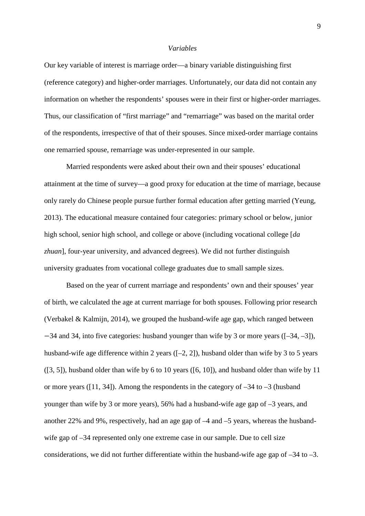#### *Variables*

Our key variable of interest is marriage order—a binary variable distinguishing first (reference category) and higher-order marriages. Unfortunately, our data did not contain any information on whether the respondents' spouses were in their first or higher-order marriages. Thus, our classification of "first marriage" and "remarriage" was based on the marital order of the respondents, irrespective of that of their spouses. Since mixed-order marriage contains one remarried spouse, remarriage was under-represented in our sample.

Married respondents were asked about their own and their spouses' educational attainment at the time of survey—a good proxy for education at the time of marriage, because only rarely do Chinese people pursue further formal education after getting married (Yeung, 2013). The educational measure contained four categories: primary school or below, junior high school, senior high school, and college or above (including vocational college [*da zhuan*], four-year university, and advanced degrees). We did not further distinguish university graduates from vocational college graduates due to small sample sizes.

Based on the year of current marriage and respondents' own and their spouses' year of birth, we calculated the age at current marriage for both spouses. Following prior research (Verbakel & Kalmijn, 2014), we grouped the husband-wife age gap, which ranged between −34 and 34, into five categories: husband younger than wife by 3 or more years ([–34, –3]), husband-wife age difference within 2 years  $([-2, 2])$ , husband older than wife by 3 to 5 years ([3, 5]), husband older than wife by 6 to 10 years ([6, 10]), and husband older than wife by 11 or more years ([11, 34]). Among the respondents in the category of  $-34$  to  $-3$  (husband younger than wife by 3 or more years), 56% had a husband-wife age gap of –3 years, and another 22% and 9%, respectively, had an age gap of –4 and –5 years, whereas the husbandwife gap of –34 represented only one extreme case in our sample. Due to cell size considerations, we did not further differentiate within the husband-wife age gap of  $-34$  to  $-3$ .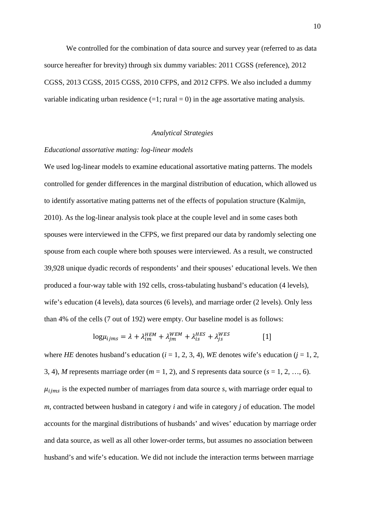We controlled for the combination of data source and survey year (referred to as data source hereafter for brevity) through six dummy variables: 2011 CGSS (reference), 2012 CGSS, 2013 CGSS, 2015 CGSS, 2010 CFPS, and 2012 CFPS. We also included a dummy variable indicating urban residence  $(=1; \text{ rural} = 0)$  in the age assortative mating analysis.

## *Analytical Strategies*

#### *Educational assortative mating: log-linear models*

We used log-linear models to examine educational assortative mating patterns. The models controlled for gender differences in the marginal distribution of education, which allowed us to identify assortative mating patterns net of the effects of population structure (Kalmijn, 2010). As the log-linear analysis took place at the couple level and in some cases both spouses were interviewed in the CFPS, we first prepared our data by randomly selecting one spouse from each couple where both spouses were interviewed. As a result, we constructed 39,928 unique dyadic records of respondents' and their spouses' educational levels. We then produced a four-way table with 192 cells, cross-tabulating husband's education (4 levels), wife's education (4 levels), data sources (6 levels), and marriage order (2 levels). Only less than 4% of the cells (7 out of 192) were empty. Our baseline model is as follows:

$$
log\mu_{ijms} = \lambda + \lambda_{im}^{HEM} + \lambda_{jm}^{WEM} + \lambda_{is}^{HES} + \lambda_{js}^{WES}
$$
 [1]

where *HE* denotes husband's education ( $i = 1, 2, 3, 4$ ), *WE* denotes wife's education ( $j = 1, 2, 3, 4$ ) 3, 4), *M* represents marriage order (*m* = 1, 2), and *S* represents data source (*s* = 1, 2, …, 6).  $\mu_{iims}$  is the expected number of marriages from data source *s*, with marriage order equal to *m*, contracted between husband in category *i* and wife in category *j* of education. The model accounts for the marginal distributions of husbands' and wives' education by marriage order and data source, as well as all other lower-order terms, but assumes no association between husband's and wife's education. We did not include the interaction terms between marriage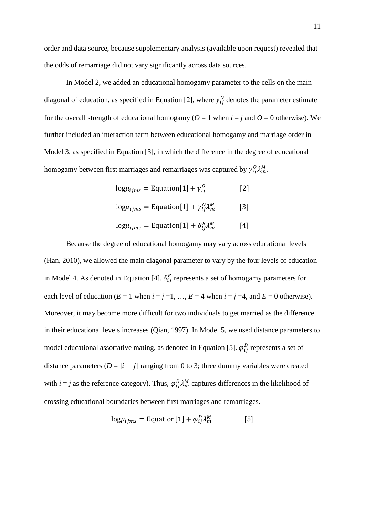order and data source, because supplementary analysis (available upon request) revealed that the odds of remarriage did not vary significantly across data sources.

In Model 2, we added an educational homogamy parameter to the cells on the main diagonal of education, as specified in Equation [2], where  $\gamma_{ij}^{\omega}$  denotes the parameter estimate for the overall strength of educational homogamy ( $O = 1$  when  $i = j$  and  $O = 0$  otherwise). We further included an interaction term between educational homogamy and marriage order in Model 3, as specified in Equation [3], in which the difference in the degree of educational homogamy between first marriages and remarriages was captured by  $\gamma_{ij}^0 \lambda_m^M$ .

$$
log\mu_{ijms} = Equation[1] + \gamma_{ij}^{O}
$$
 [2]

$$
log\mu_{ijms} = Equation[1] + \gamma_{ij}^0 \lambda_m^M
$$
 [3]

$$
log\mu_{ijms} = Equation[1] + \delta_{ij}^{E} \lambda_{m}^{M}
$$
 [4]

Because the degree of educational homogamy may vary across educational levels (Han, 2010), we allowed the main diagonal parameter to vary by the four levels of education in Model 4. As denoted in Equation [4],  $\delta_{ij}^E$  represents a set of homogamy parameters for each level of education ( $E = 1$  when  $i = j = 1, ..., E = 4$  when  $i = j = 4$ , and  $E = 0$  otherwise). Moreover, it may become more difficult for two individuals to get married as the difference in their educational levels increases (Qian, 1997). In Model 5, we used distance parameters to model educational assortative mating, as denoted in Equation [5].  $\varphi_{ij}^D$  represents a set of distance parameters  $(D = |i - j|)$  ranging from 0 to 3; three dummy variables were created with  $i = j$  as the reference category). Thus,  $\varphi_{ij}^D \lambda_m^M$  captures differences in the likelihood of crossing educational boundaries between first marriages and remarriages.

$$
log\mu_{ijms} = Equation[1] + \varphi_{ij}^D \lambda_m^M
$$
 [5]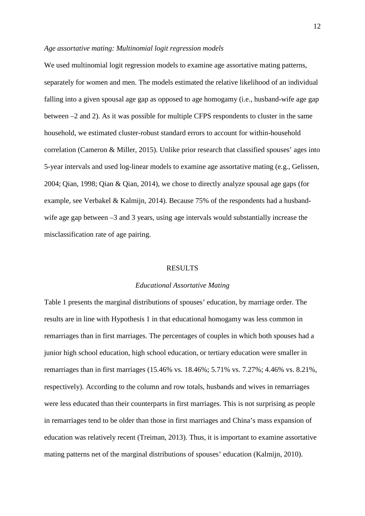## *Age assortative mating: Multinomial logit regression models*

We used multinomial logit regression models to examine age assortative mating patterns, separately for women and men. The models estimated the relative likelihood of an individual falling into a given spousal age gap as opposed to age homogamy (i.e., husband-wife age gap between –2 and 2). As it was possible for multiple CFPS respondents to cluster in the same household, we estimated cluster-robust standard errors to account for within-household correlation (Cameron & Miller, 2015). Unlike prior research that classified spouses' ages into 5-year intervals and used log-linear models to examine age assortative mating (e.g., Gelissen, 2004; Qian, 1998; Qian & Qian, 2014), we chose to directly analyze spousal age gaps (for example, see Verbakel & Kalmijn, 2014). Because 75% of the respondents had a husbandwife age gap between –3 and 3 years, using age intervals would substantially increase the misclassification rate of age pairing.

#### RESULTS

### *Educational Assortative Mating*

Table 1 presents the marginal distributions of spouses' education, by marriage order. The results are in line with Hypothesis 1 in that educational homogamy was less common in remarriages than in first marriages. The percentages of couples in which both spouses had a junior high school education, high school education, or tertiary education were smaller in remarriages than in first marriages (15.46% vs. 18.46%; 5.71% vs. 7.27%; 4.46% vs. 8.21%, respectively). According to the column and row totals, husbands and wives in remarriages were less educated than their counterparts in first marriages. This is not surprising as people in remarriages tend to be older than those in first marriages and China's mass expansion of education was relatively recent (Treiman, 2013). Thus, it is important to examine assortative mating patterns net of the marginal distributions of spouses' education (Kalmijn, 2010).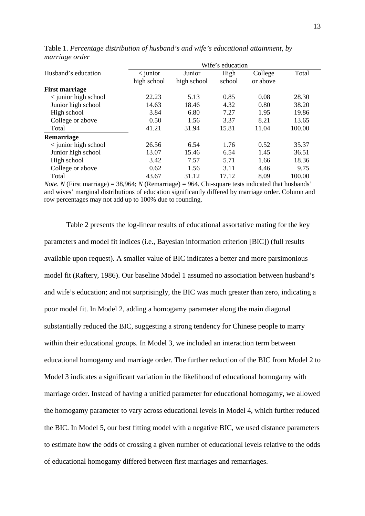| $\cup$                | Wife's education |             |        |          |        |  |  |
|-----------------------|------------------|-------------|--------|----------|--------|--|--|
| Husband's education   | $\langle$ junior | Junior      | High   | College  | Total  |  |  |
|                       | high school      | high school | school | or above |        |  |  |
| <b>First marriage</b> |                  |             |        |          |        |  |  |
| < junior high school  | 22.23            | 5.13        | 0.85   | 0.08     | 28.30  |  |  |
| Junior high school    | 14.63            | 18.46       | 4.32   | 0.80     | 38.20  |  |  |
| High school           | 3.84             | 6.80        | 7.27   | 1.95     | 19.86  |  |  |
| College or above      | 0.50             | 1.56        | 3.37   | 8.21     | 13.65  |  |  |
| Total                 | 41.21            | 31.94       | 15.81  | 11.04    | 100.00 |  |  |
| Remarriage            |                  |             |        |          |        |  |  |
| < junior high school  | 26.56            | 6.54        | 1.76   | 0.52     | 35.37  |  |  |
| Junior high school    | 13.07            | 15.46       | 6.54   | 1.45     | 36.51  |  |  |
| High school           | 3.42             | 7.57        | 5.71   | 1.66     | 18.36  |  |  |
| College or above      | 0.62             | 1.56        | 3.11   | 4.46     | 9.75   |  |  |
| Total                 | 43.67            | 31.12       | 17.12  | 8.09     | 100.00 |  |  |

Table 1. *Percentage distribution of husband's and wife's educational attainment, by marriage order*

*Note*. *N* (First marriage) = 38,964; *N* (Remarriage) = 964. Chi-square tests indicated that husbands' and wives' marginal distributions of education significantly differed by marriage order. Column and row percentages may not add up to 100% due to rounding.

Table 2 presents the log-linear results of educational assortative mating for the key parameters and model fit indices (i.e., Bayesian information criterion [BIC]) (full results available upon request). A smaller value of BIC indicates a better and more parsimonious model fit (Raftery, 1986). Our baseline Model 1 assumed no association between husband's and wife's education; and not surprisingly, the BIC was much greater than zero, indicating a poor model fit. In Model 2, adding a homogamy parameter along the main diagonal substantially reduced the BIC, suggesting a strong tendency for Chinese people to marry within their educational groups. In Model 3, we included an interaction term between educational homogamy and marriage order. The further reduction of the BIC from Model 2 to Model 3 indicates a significant variation in the likelihood of educational homogamy with marriage order. Instead of having a unified parameter for educational homogamy, we allowed the homogamy parameter to vary across educational levels in Model 4, which further reduced the BIC. In Model 5, our best fitting model with a negative BIC, we used distance parameters to estimate how the odds of crossing a given number of educational levels relative to the odds of educational homogamy differed between first marriages and remarriages.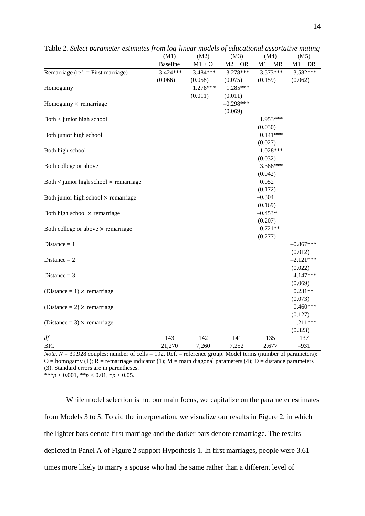|                                                   | (M1)            | (M2)        | (M3)        | (M4)        | (M5)        |
|---------------------------------------------------|-----------------|-------------|-------------|-------------|-------------|
|                                                   | <b>Baseline</b> | $M1 + O$    | $M2 + OR$   | $M1 + MR$   | $M1 + DR$   |
| Remarriage (ref. = First marriage)                | $-3.424***$     | $-3.484***$ | $-3.278***$ | $-3.573***$ | $-3.582***$ |
|                                                   | (0.066)         | (0.058)     | (0.075)     | (0.159)     | (0.062)     |
| Homogamy                                          |                 | 1.278***    | $1.285***$  |             |             |
|                                                   |                 | (0.011)     | (0.011)     |             |             |
| Homogamy $\times$ remarriage                      |                 |             | $-0.298***$ |             |             |
|                                                   |                 |             | (0.069)     |             |             |
| Both < junior high school                         |                 |             |             | 1.953***    |             |
|                                                   |                 |             |             | (0.030)     |             |
| Both junior high school                           |                 |             |             | $0.141***$  |             |
|                                                   |                 |             |             | (0.027)     |             |
| Both high school                                  |                 |             |             | $1.028***$  |             |
|                                                   |                 |             |             | (0.032)     |             |
| Both college or above                             |                 |             |             | 3.388***    |             |
|                                                   |                 |             |             | (0.042)     |             |
| Both $\lt$ junior high school $\times$ remarriage |                 |             |             | 0.052       |             |
|                                                   |                 |             |             | (0.172)     |             |
| Both junior high school × remarriage              |                 |             |             | $-0.304$    |             |
|                                                   |                 |             |             | (0.169)     |             |
| Both high school × remarriage                     |                 |             |             | $-0.453*$   |             |
|                                                   |                 |             |             | (0.207)     |             |
| Both college or above × remarriage                |                 |             |             | $-0.721**$  |             |
|                                                   |                 |             |             | (0.277)     |             |
| Distance $= 1$                                    |                 |             |             |             | $-0.867***$ |
|                                                   |                 |             |             |             | (0.012)     |
| Distance $= 2$                                    |                 |             |             |             | $-2.121***$ |
|                                                   |                 |             |             |             | (0.022)     |
| Distance $=$ 3                                    |                 |             |             |             | $-4.147***$ |
|                                                   |                 |             |             |             | (0.069)     |
| (Distance = $1) \times$ remarriage                |                 |             |             |             | $0.231**$   |
|                                                   |                 |             |             |             | (0.073)     |
| (Distance = 2) $\times$ remarriage                |                 |             |             |             | $0.460***$  |
|                                                   |                 |             |             |             | (0.127)     |
| (Distance = 3) $\times$ remarriage                |                 |             |             |             | 1.211***    |
|                                                   |                 |             |             |             | (0.323)     |
| df                                                | 143             | 142         | 141         | 135         | 137         |
| <b>BIC</b>                                        | 21,270          | 7,260       | 7,252       | 2,677       | $-931$      |

Table 2. *Select parameter estimates from log-linear models of educational assortative mating*

*Note*.  $N = 39,928$  couples; number of cells = 192. Ref. = reference group. Model terms (number of parameters): O = homogamy (1);  $\overline{R}$  = remarriage indicator (1); M = main diagonal parameters (4); D = distance parameters (3). Standard errors are in parentheses.

\*\*\**p* < 0.001, \*\**p* < 0.01, \**p* < 0.05.

While model selection is not our main focus, we capitalize on the parameter estimates from Models 3 to 5. To aid the interpretation, we visualize our results in Figure 2, in which the lighter bars denote first marriage and the darker bars denote remarriage. The results depicted in Panel A of Figure 2 support Hypothesis 1. In first marriages, people were 3.61 times more likely to marry a spouse who had the same rather than a different level of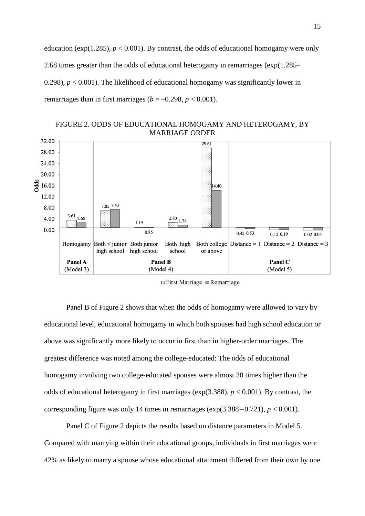education ( $exp(1.285)$ ,  $p < 0.001$ ). By contrast, the odds of educational homogamy were only 2.68 times greater than the odds of educational heterogamy in remarriages (exp(1.285– 0.298),  $p < 0.001$ ). The likelihood of educational homogamy was significantly lower in remarriages than in first marriages ( $b = -0.298$ ,  $p < 0.001$ ).





 $\Box$  First Marriage  $\Box$  Remarriage

Panel B of Figure 2 shows that when the odds of homogamy were allowed to vary by educational level, educational homogamy in which both spouses had high school education or above was significantly more likely to occur in first than in higher-order marriages. The greatest difference was noted among the college-educated: The odds of educational homogamy involving two college-educated spouses were almost 30 times higher than the odds of educational heterogamy in first marriages ( $exp(3.388)$ ,  $p < 0.001$ ). By contrast, the corresponding figure was only 14 times in remarriages ( $exp(3.388 - 0.721)$ ,  $p < 0.001$ ).

Panel C of Figure 2 depicts the results based on distance parameters in Model 5. Compared with marrying within their educational groups, individuals in first marriages were 42% as likely to marry a spouse whose educational attainment differed from their own by one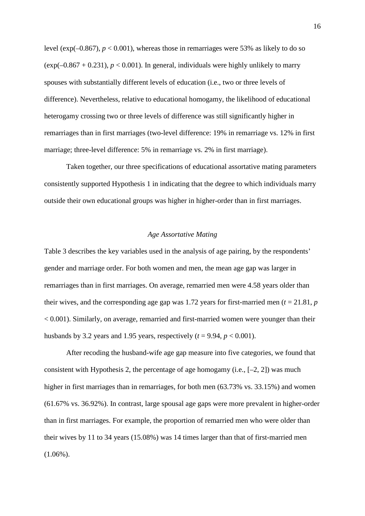level (exp( $-0.867$ ),  $p < 0.001$ ), whereas those in remarriages were 53% as likely to do so (exp( $-0.867 + 0.231$ ),  $p < 0.001$ ). In general, individuals were highly unlikely to marry spouses with substantially different levels of education (i.e., two or three levels of difference). Nevertheless, relative to educational homogamy, the likelihood of educational heterogamy crossing two or three levels of difference was still significantly higher in remarriages than in first marriages (two-level difference: 19% in remarriage vs. 12% in first marriage; three-level difference: 5% in remarriage vs. 2% in first marriage).

Taken together, our three specifications of educational assortative mating parameters consistently supported Hypothesis 1 in indicating that the degree to which individuals marry outside their own educational groups was higher in higher-order than in first marriages.

## *Age Assortative Mating*

Table 3 describes the key variables used in the analysis of age pairing, by the respondents' gender and marriage order. For both women and men, the mean age gap was larger in remarriages than in first marriages. On average, remarried men were 4.58 years older than their wives, and the corresponding age gap was 1.72 years for first-married men ( $t = 21.81$ ,  $p$ ) < 0.001). Similarly, on average, remarried and first-married women were younger than their husbands by 3.2 years and 1.95 years, respectively  $(t = 9.94, p < 0.001)$ .

After recoding the husband-wife age gap measure into five categories, we found that consistent with Hypothesis 2, the percentage of age homogamy (i.e.,  $[-2, 2]$ ) was much higher in first marriages than in remarriages, for both men (63.73% vs. 33.15%) and women (61.67% vs. 36.92%). In contrast, large spousal age gaps were more prevalent in higher-order than in first marriages. For example, the proportion of remarried men who were older than their wives by 11 to 34 years (15.08%) was 14 times larger than that of first-married men  $(1.06\%)$ .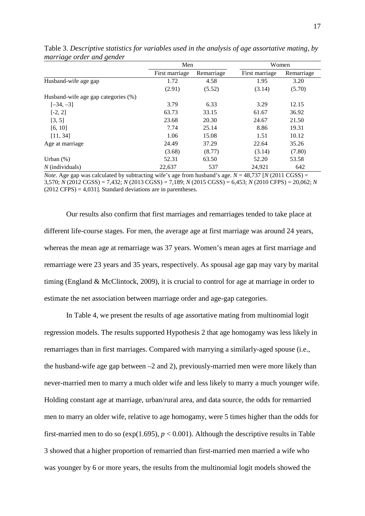|                                     | Men            |            |                | Women      |  |
|-------------------------------------|----------------|------------|----------------|------------|--|
|                                     | First marriage | Remarriage | First marriage | Remarriage |  |
| Husband-wife age gap                | 1.72           | 4.58       | 1.95           | 3.20       |  |
|                                     | (2.91)         | (5.52)     | (3.14)         | (5.70)     |  |
| Husband-wife age gap categories (%) |                |            |                |            |  |
| $[-34, -3]$                         | 3.79           | 6.33       | 3.29           | 12.15      |  |
| $[-2, 2]$                           | 63.73          | 33.15      | 61.67          | 36.92      |  |
| [3, 5]                              | 23.68          | 20.30      | 24.67          | 21.50      |  |
| [6, 10]                             | 7.74           | 25.14      | 8.86           | 19.31      |  |
| [11, 34]                            | 1.06           | 15.08      | 1.51           | 10.12      |  |
| Age at marriage                     | 24.49          | 37.29      | 22.64          | 35.26      |  |
|                                     | (3.68)         | (8.77)     | (3.14)         | (7.80)     |  |
| Urban $(\%)$                        | 52.31          | 63.50      | 52.20          | 53.58      |  |
| $N$ (individuals)                   | 22,637         | 537        | 24,921         | 642        |  |

Table 3. *Descriptive statistics for variables used in the analysis of age assortative mating, by marriage order and gender*

*Note*. Age gap was calculated by subtracting wife's age from husband's age.  $N = 48,737$  [*N* (2011 CGSS) = 3,570; *N* (2012 CGSS) = 7,432; *N* (2013 CGSS) = 7,189; *N* (2015 CGSS) = 6,453; *N* (2010 CFPS) = 20,062; *N*  $(2012 \text{ CFR}) = 4.031$ . Standard deviations are in parentheses.

Our results also confirm that first marriages and remarriages tended to take place at different life-course stages. For men, the average age at first marriage was around 24 years, whereas the mean age at remarriage was 37 years. Women's mean ages at first marriage and remarriage were 23 years and 35 years, respectively. As spousal age gap may vary by marital timing (England & McClintock, 2009), it is crucial to control for age at marriage in order to estimate the net association between marriage order and age-gap categories.

In Table 4, we present the results of age assortative mating from multinomial logit regression models. The results supported Hypothesis 2 that age homogamy was less likely in remarriages than in first marriages. Compared with marrying a similarly-aged spouse (i.e., the husband-wife age gap between –2 and 2), previously-married men were more likely than never-married men to marry a much older wife and less likely to marry a much younger wife. Holding constant age at marriage, urban/rural area, and data source, the odds for remarried men to marry an older wife, relative to age homogamy, were 5 times higher than the odds for first-married men to do so ( $exp(1.695)$ ,  $p < 0.001$ ). Although the descriptive results in Table 3 showed that a higher proportion of remarried than first-married men married a wife who was younger by 6 or more years, the results from the multinomial logit models showed the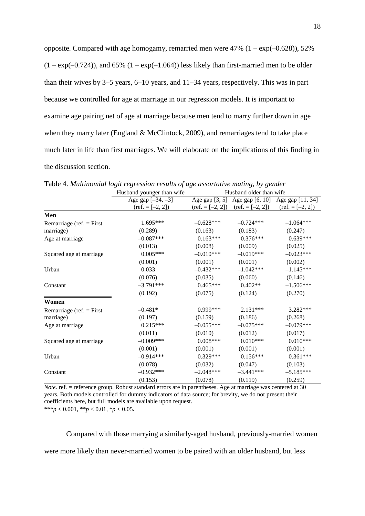| opposite. Compared with age homogamy, remarried men were $47\%$ (1 – $\exp(-0.628)$ ), 52%         |
|----------------------------------------------------------------------------------------------------|
| $(1 - \exp(-0.724))$ , and 65% $(1 - \exp(-1.064))$ less likely than first-married men to be older |
| than their wives by $3-5$ years, $6-10$ years, and $11-34$ years, respectively. This was in part   |
| because we controlled for age at marriage in our regression models. It is important to             |
| examine age pairing net of age at marriage because men tend to marry further down in age           |
| when they marry later (England & McClintock, 2009), and remarriages tend to take place             |
| much later in life than first marriages. We will elaborate on the implications of this finding in  |
| the discussion section.                                                                            |

Husband younger than wife Husband older than wife Age gap  $[-34, -3]$  $(ref. = [-2, 2])$ Age gap [3, 5] Age gap [6, 10] Age gap [11, 34]  $(ref. = [-2, 2])$   $(ref. = [-2, 2])$  $(ref. = [-2, 2])$ **Men** Remarriage (ref. = First marriage) 1.695\*\*\* –0.628\*\*\* –0.724\*\*\* –1.064\*\*\*  $(0.289)$   $(0.163)$   $(0.183)$   $(0.247)$ <br>  $-0.087***$   $0.163***$   $0.376***$   $0.639*$ Age at marriage  $-0.087***$  0.163\*\*\* 0.376\*\*\* 0.639\*\*\*  $(0.013)$   $(0.008)$   $(0.009)$   $(0.025)$ Squared age at marriage  $0.005***$   $-0.010***$   $-0.019***$   $-0.023***$  $(0.001)$   $(0.001)$   $(0.001)$   $(0.002)$ Urban 0.033 –0.432\*\*\* –1.042\*\*\* –1.145\*\*\*  $(0.076)$   $(0.035)$   $(0.060)$   $(0.146)$ Constant  $-3.791***$   $0.465***$   $0.402**$   $-1.506***$  $(0.192)$   $(0.075)$   $(0.124)$   $(0.270)$ **Women** Remarriage (ref. = First marriage)  $-0.481^*$  0.999\*\*\* 2.131\*\*\* 3.282\*\*\*  $(0.197)$   $(0.159)$   $(0.186)$   $(0.268)$ Age at marriage  $0.215***$   $-0.055***$   $-0.075***$   $-0.079***$  $(0.011)$   $(0.010)$   $(0.012)$   $(0.017)$ Squared age at marriage  $-0.009***$   $0.008***$  0.010\*\*\* 0.010\*\*\*  $(0.001)$   $(0.001)$   $(0.001)$   $(0.001)$ Urban –0.914\*\*\* 0.329\*\*\* 0.156\*\*\* 0.361\*\*\*  $(0.078)$   $(0.032)$   $(0.047)$   $(0.103)$ Constant  $-0.932***$   $-2.048***$   $-3.441***$   $-5.185***$  $(0.153)$   $(0.078)$   $(0.119)$   $(0.259)$ 

Table 4. *Multinomial logit regression results of age assortative mating, by gender*

*Note*. ref. = reference group. Robust standard errors are in parentheses. Age at marriage was centered at 30 years. Both models controlled for dummy indicators of data source; for brevity, we do not present their coefficients here, but full models are available upon request.

\*\*\**p* < 0.001, \*\**p* < 0.01, \**p* < 0.05.

Compared with those marrying a similarly-aged husband, previously-married women were more likely than never-married women to be paired with an older husband, but less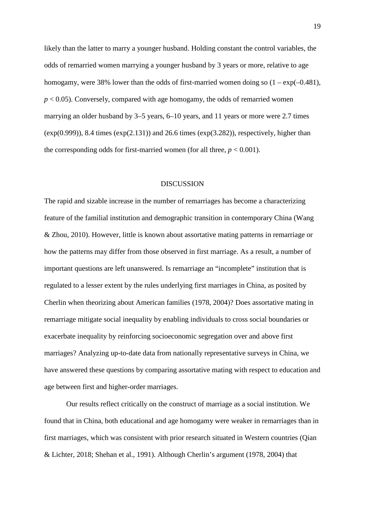likely than the latter to marry a younger husband. Holding constant the control variables, the odds of remarried women marrying a younger husband by 3 years or more, relative to age homogamy, were 38% lower than the odds of first-married women doing so  $(1 - \exp(-0.481))$ ,  $p < 0.05$ ). Conversely, compared with age homogamy, the odds of remarried women marrying an older husband by 3–5 years, 6–10 years, and 11 years or more were 2.7 times  $(exp(0.999))$ , 8.4 times  $(exp(2.131))$  and 26.6 times  $(exp(3.282))$ , respectively, higher than the corresponding odds for first-married women (for all three,  $p < 0.001$ ).

### DISCUSSION

The rapid and sizable increase in the number of remarriages has become a characterizing feature of the familial institution and demographic transition in contemporary China (Wang & Zhou, 2010). However, little is known about assortative mating patterns in remarriage or how the patterns may differ from those observed in first marriage. As a result, a number of important questions are left unanswered. Is remarriage an "incomplete" institution that is regulated to a lesser extent by the rules underlying first marriages in China, as posited by Cherlin when theorizing about American families (1978, 2004)? Does assortative mating in remarriage mitigate social inequality by enabling individuals to cross social boundaries or exacerbate inequality by reinforcing socioeconomic segregation over and above first marriages? Analyzing up-to-date data from nationally representative surveys in China, we have answered these questions by comparing assortative mating with respect to education and age between first and higher-order marriages.

Our results reflect critically on the construct of marriage as a social institution. We found that in China, both educational and age homogamy were weaker in remarriages than in first marriages, which was consistent with prior research situated in Western countries (Qian & Lichter, 2018; Shehan et al., 1991). Although Cherlin's argument (1978, 2004) that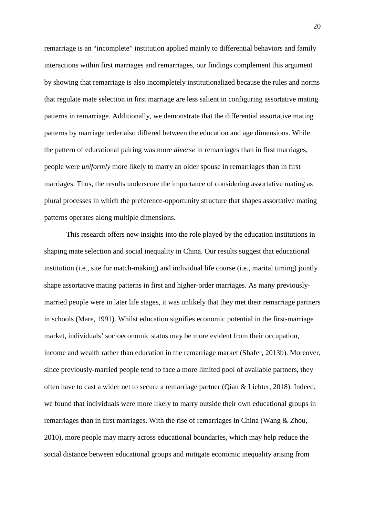remarriage is an "incomplete" institution applied mainly to differential behaviors and family interactions within first marriages and remarriages, our findings complement this argument by showing that remarriage is also incompletely institutionalized because the rules and norms that regulate mate selection in first marriage are less salient in configuring assortative mating patterns in remarriage. Additionally, we demonstrate that the differential assortative mating patterns by marriage order also differed between the education and age dimensions. While the pattern of educational pairing was more *diverse* in remarriages than in first marriages, people were *uniformly* more likely to marry an older spouse in remarriages than in first marriages. Thus, the results underscore the importance of considering assortative mating as plural processes in which the preference-opportunity structure that shapes assortative mating patterns operates along multiple dimensions.

This research offers new insights into the role played by the education institutions in shaping mate selection and social inequality in China. Our results suggest that educational institution (i.e., site for match-making) and individual life course (i.e., marital timing) jointly shape assortative mating patterns in first and higher-order marriages. As many previouslymarried people were in later life stages, it was unlikely that they met their remarriage partners in schools (Mare, 1991). Whilst education signifies economic potential in the first-marriage market, individuals' socioeconomic status may be more evident from their occupation, income and wealth rather than education in the remarriage market (Shafer, 2013b). Moreover, since previously-married people tend to face a more limited pool of available partners, they often have to cast a wider net to secure a remarriage partner (Qian & Lichter, 2018). Indeed, we found that individuals were more likely to marry outside their own educational groups in remarriages than in first marriages. With the rise of remarriages in China (Wang & Zhou, 2010), more people may marry across educational boundaries, which may help reduce the social distance between educational groups and mitigate economic inequality arising from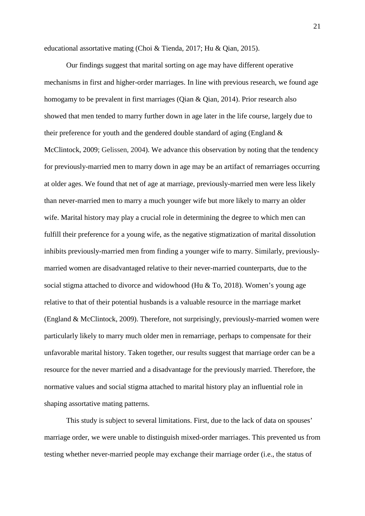educational assortative mating (Choi & Tienda, 2017; Hu & Qian, 2015).

Our findings suggest that marital sorting on age may have different operative mechanisms in first and higher-order marriages. In line with previous research, we found age homogamy to be prevalent in first marriages (Qian & Qian, 2014). Prior research also showed that men tended to marry further down in age later in the life course, largely due to their preference for youth and the gendered double standard of aging (England & McClintock, 2009; Gelissen, 2004). We advance this observation by noting that the tendency for previously-married men to marry down in age may be an artifact of remarriages occurring at older ages. We found that net of age at marriage, previously-married men were less likely than never-married men to marry a much younger wife but more likely to marry an older wife. Marital history may play a crucial role in determining the degree to which men can fulfill their preference for a young wife, as the negative stigmatization of marital dissolution inhibits previously-married men from finding a younger wife to marry. Similarly, previouslymarried women are disadvantaged relative to their never-married counterparts, due to the social stigma attached to divorce and widowhood (Hu  $&$  To, 2018). Women's young age relative to that of their potential husbands is a valuable resource in the marriage market (England & McClintock, 2009). Therefore, not surprisingly, previously-married women were particularly likely to marry much older men in remarriage, perhaps to compensate for their unfavorable marital history. Taken together, our results suggest that marriage order can be a resource for the never married and a disadvantage for the previously married. Therefore, the normative values and social stigma attached to marital history play an influential role in shaping assortative mating patterns.

This study is subject to several limitations. First, due to the lack of data on spouses' marriage order, we were unable to distinguish mixed-order marriages. This prevented us from testing whether never-married people may exchange their marriage order (i.e., the status of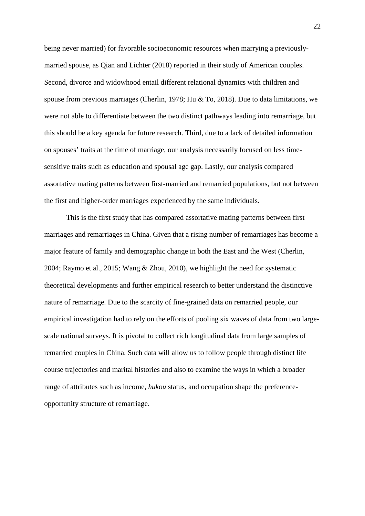being never married) for favorable socioeconomic resources when marrying a previouslymarried spouse, as Qian and Lichter (2018) reported in their study of American couples. Second, divorce and widowhood entail different relational dynamics with children and spouse from previous marriages (Cherlin, 1978; Hu & To, 2018). Due to data limitations, we were not able to differentiate between the two distinct pathways leading into remarriage, but this should be a key agenda for future research. Third, due to a lack of detailed information on spouses' traits at the time of marriage, our analysis necessarily focused on less timesensitive traits such as education and spousal age gap. Lastly, our analysis compared assortative mating patterns between first-married and remarried populations, but not between the first and higher-order marriages experienced by the same individuals.

This is the first study that has compared assortative mating patterns between first marriages and remarriages in China. Given that a rising number of remarriages has become a major feature of family and demographic change in both the East and the West (Cherlin, 2004; Raymo et al., 2015; Wang & Zhou, 2010), we highlight the need for systematic theoretical developments and further empirical research to better understand the distinctive nature of remarriage. Due to the scarcity of fine-grained data on remarried people, our empirical investigation had to rely on the efforts of pooling six waves of data from two largescale national surveys. It is pivotal to collect rich longitudinal data from large samples of remarried couples in China. Such data will allow us to follow people through distinct life course trajectories and marital histories and also to examine the ways in which a broader range of attributes such as income, *hukou* status, and occupation shape the preferenceopportunity structure of remarriage.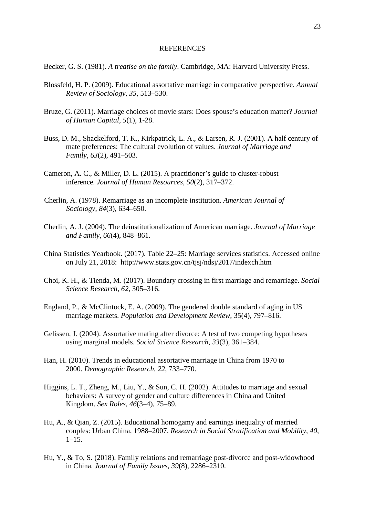#### REFERENCES

Becker, G. S. (1981). *A treatise on the family*. Cambridge, MA: Harvard University Press.

- Blossfeld, H. P. (2009). Educational assortative marriage in comparative perspective. *Annual Review of Sociology*, *35*, 513–530.
- Bruze, G. (2011). Marriage choices of movie stars: Does spouse's education matter? *Journal of Human Capital, 5*(1), 1-28.
- Buss, D. M., Shackelford, T. K., Kirkpatrick, L. A., & Larsen, R. J. (2001). A half century of mate preferences: The cultural evolution of values. *Journal of Marriage and Family*, *63*(2), 491–503.
- Cameron, A. C., & Miller, D. L. (2015). A practitioner's guide to cluster-robust inference*. Journal of Human Resources*, *50*(2), 317–372.
- Cherlin, A. (1978). Remarriage as an incomplete institution. *American Journal of Sociology*, *84*(3), 634–650.
- Cherlin, A. J. (2004). The deinstitutionalization of American marriage. *Journal of Marriage and Family*, *66*(4), 848–861.
- China Statistics Yearbook. (2017). Table 22–25: Marriage services statistics. Accessed online on July 21, 2018: http://www.stats.gov.cn/tjsj/ndsj/2017/indexch.htm
- Choi, K. H., & Tienda, M. (2017). Boundary crossing in first marriage and remarriage. *Social Science Research*, *62*, 305–316.
- England, P., & McClintock, E. A. (2009). The gendered double standard of aging in US marriage markets. *Population and Development Review*, 35(4), 797–816.
- Gelissen, J. (2004). Assortative mating after divorce: A test of two competing hypotheses using marginal models. *Social Science Research*, *33*(3), 361–384.
- Han, H. (2010). Trends in educational assortative marriage in China from 1970 to 2000. *Demographic Research*, *22*, 733–770.
- Higgins, L. T., Zheng, M., Liu, Y., & Sun, C. H. (2002). Attitudes to marriage and sexual behaviors: A survey of gender and culture differences in China and United Kingdom. *Sex Roles*, *46*(3–4), 75–89.
- Hu, A., & Qian, Z. (2015). Educational homogamy and earnings inequality of married couples: Urban China, 1988–2007. *Research in Social Stratification and Mobility*, *40*,  $1-15.$
- Hu, Y., & To, S. (2018). Family relations and remarriage post-divorce and post-widowhood in China. *Journal of Family Issues*, *39*(8), 2286–2310.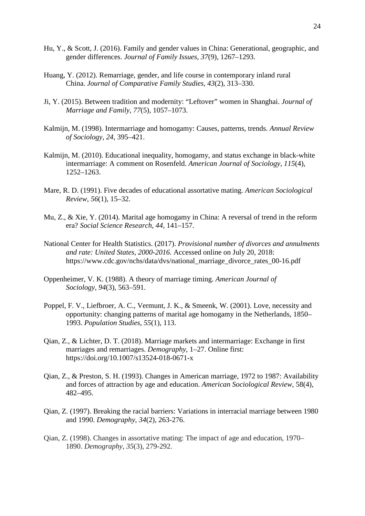- Hu, Y., & Scott, J. (2016). Family and gender values in China: Generational, geographic, and gender differences. *Journal of Family Issues*, *37*(9), 1267–1293.
- Huang, Y. (2012). Remarriage, gender, and life course in contemporary inland rural China. *Journal of Comparative Family Studies*, *43*(2), 313–330.
- Ji, Y. (2015). Between tradition and modernity: "Leftover" women in Shanghai. *Journal of Marriage and Family*, *77*(5), 1057–1073.
- Kalmijn, M. (1998). Intermarriage and homogamy: Causes, patterns, trends. *Annual Review of Sociology*, *24*, 395–421.
- Kalmijn, M. (2010). Educational inequality, homogamy, and status exchange in black-white intermarriage: A comment on Rosenfeld. *American Journal of Sociology*, *115*(4), 1252–1263.
- Mare, R. D. (1991). Five decades of educational assortative mating. *American Sociological Review*, *56*(1), 15–32.
- Mu, Z., & Xie, Y. (2014). Marital age homogamy in China: A reversal of trend in the reform era? *Social Science Research*, *44*, 141–157.
- National Center for Health Statistics. (2017). *Provisional number of divorces and annulments and rate: United States, 2000-2016.* Accessed online on July 20, 2018: https://www.cdc.gov/nchs/data/dvs/national\_marriage\_divorce\_rates\_00-16.pdf
- Oppenheimer, V. K. (1988). A theory of marriage timing. *American Journal of Sociology*, *94*(3), 563–591.
- Poppel, F. V., Liefbroer, A. C., Vermunt, J. K., & Smeenk, W. (2001). Love, necessity and opportunity: changing patterns of marital age homogamy in the Netherlands, 1850– 1993. *Population Studies*, *55*(1), 113.
- Qian, Z., & Lichter, D. T. (2018). Marriage markets and intermarriage: Exchange in first marriages and remarriages. *Demography*, 1–27. Online first: https://doi.org/10.1007/s13524-018-0671-x
- Qian, Z., & Preston, S. H. (1993). Changes in American marriage, 1972 to 1987: Availability and forces of attraction by age and education. *American Sociological Review*, 58(4), 482–495.
- Qian, Z. (1997). Breaking the racial barriers: Variations in interracial marriage between 1980 and 1990. *Demography, 34*(2), 263-276.
- Qian, Z. (1998). Changes in assortative mating: The impact of age and education, 1970– 1890. *Demography*, *35*(3), 279-292.